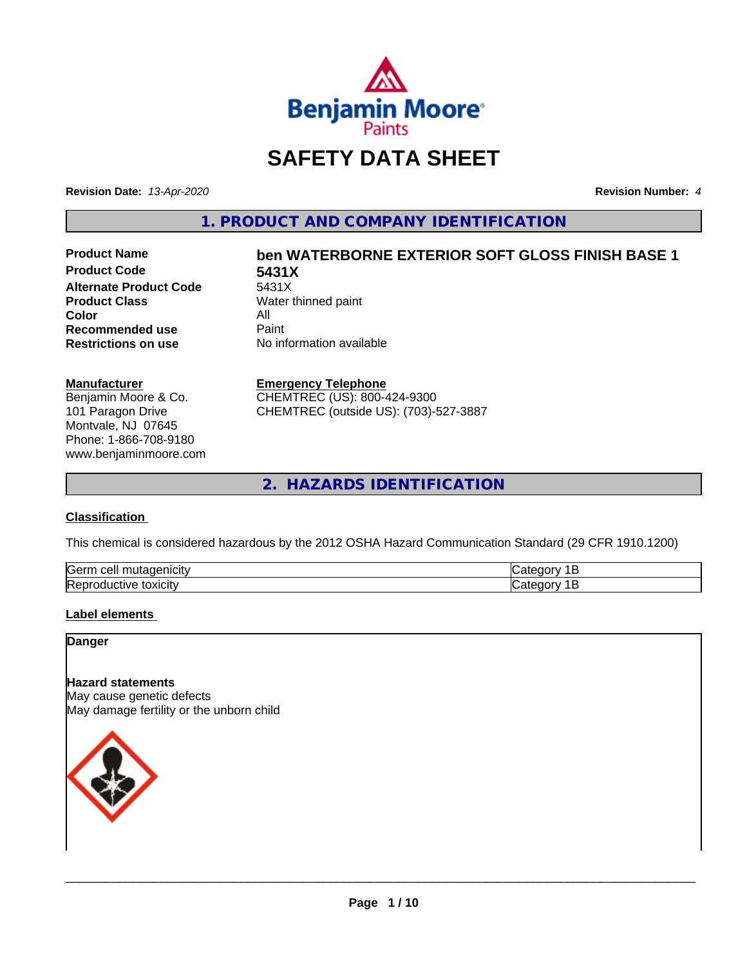

# **SAFETY DATA SHEET**

**Revision Date:** *13-Apr-2020* **Revision Number:** *4*

**1. PRODUCT AND COMPANY IDENTIFICATION**

**Product Code 5431X**<br>Alternate Product Code 5431X **Alternate Product Code**<br>Product Class **Color** All<br> **Recommended use** Paint **Recommended use**<br>Restrictions on use

# **Product Name ben WATERBORNE EXTERIOR SOFT GLOSS FINISH BASE 1**

**Water thinned paint No information available** 

#### **Manufacturer**

Benjamin Moore & Co. 101 Paragon Drive Montvale, NJ 07645 Phone: 1-866-708-9180 www.benjaminmoore.com

#### **Emergency Telephone**

CHEMTREC (US): 800-424-9300 CHEMTREC (outside US): (703)-527-3887

**2. HAZARDS IDENTIFICATION**

#### **Classification**

This chemical is considered hazardous by the 2012 OSHA Hazard Communication Standard (29 CFR 1910.1200)

| Gern<br>.<br>cell<br>л |  |
|------------------------|--|
| lRer<br>.<br>эхкл      |  |

#### **Label elements**

**Danger**

## **Hazard statements**

May cause genetic defects May damage fertility or the unborn child

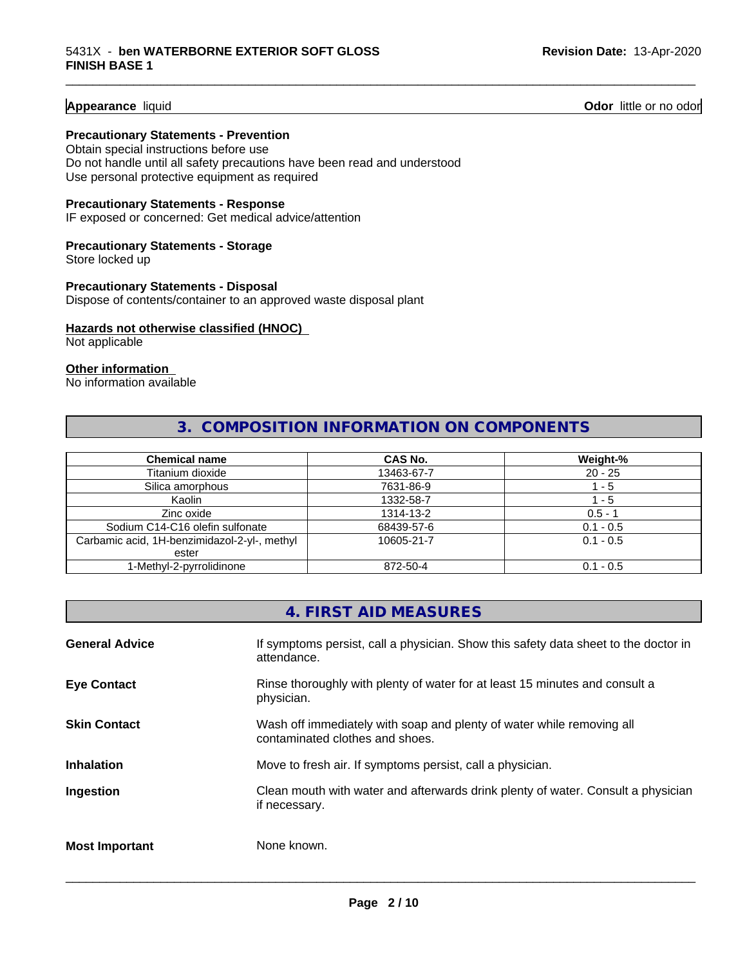**Appearance** liquid **Odor 11 Odor 11 Odor 11 Odor 11 Odor 11 Odor 11 Odor 11 Odor 11 Odor 11 Odor 11 Odor 11 Odor 11 Odor 11 Odor 11 Odor 11 Odor 11 Odor 11 Odor 11 Odor** 11

#### **Precautionary Statements - Prevention**

Obtain special instructions before use Do not handle until all safety precautions have been read and understood Use personal protective equipment as required

#### **Precautionary Statements - Response**

IF exposed or concerned: Get medical advice/attention

## **Precautionary Statements - Storage**

Store locked up

#### **Precautionary Statements - Disposal** Dispose of contents/container to an approved waste disposal plant

#### **Hazards not otherwise classified (HNOC)**

Not applicable

#### **Other information**

No information available

# **3. COMPOSITION INFORMATION ON COMPONENTS**

\_\_\_\_\_\_\_\_\_\_\_\_\_\_\_\_\_\_\_\_\_\_\_\_\_\_\_\_\_\_\_\_\_\_\_\_\_\_\_\_\_\_\_\_\_\_\_\_\_\_\_\_\_\_\_\_\_\_\_\_\_\_\_\_\_\_\_\_\_\_\_\_\_\_\_\_\_\_\_\_\_\_\_\_\_\_\_\_\_\_\_\_\_

| <b>Chemical name</b>                         | CAS No.    | Weight-%    |
|----------------------------------------------|------------|-------------|
| Titanium dioxide                             | 13463-67-7 | $20 - 25$   |
| Silica amorphous                             | 7631-86-9  | - 5         |
| Kaolin                                       | 1332-58-7  | - 5         |
| Zinc oxide                                   | 1314-13-2  | $0.5 - 1$   |
| Sodium C14-C16 olefin sulfonate              | 68439-57-6 | $0.1 - 0.5$ |
| Carbamic acid, 1H-benzimidazol-2-yl-, methyl | 10605-21-7 | $0.1 - 0.5$ |
| ester                                        |            |             |
| 1-Methyl-2-pyrrolidinone                     | 872-50-4   | $0.1 - 0.5$ |

# **4. FIRST AID MEASURES**

| <b>General Advice</b> | If symptoms persist, call a physician. Show this safety data sheet to the doctor in<br>attendance.       |
|-----------------------|----------------------------------------------------------------------------------------------------------|
| <b>Eye Contact</b>    | Rinse thoroughly with plenty of water for at least 15 minutes and consult a<br>physician.                |
| <b>Skin Contact</b>   | Wash off immediately with soap and plenty of water while removing all<br>contaminated clothes and shoes. |
| <b>Inhalation</b>     | Move to fresh air. If symptoms persist, call a physician.                                                |
| Ingestion             | Clean mouth with water and afterwards drink plenty of water. Consult a physician<br>if necessary.        |
| <b>Most Important</b> | None known.                                                                                              |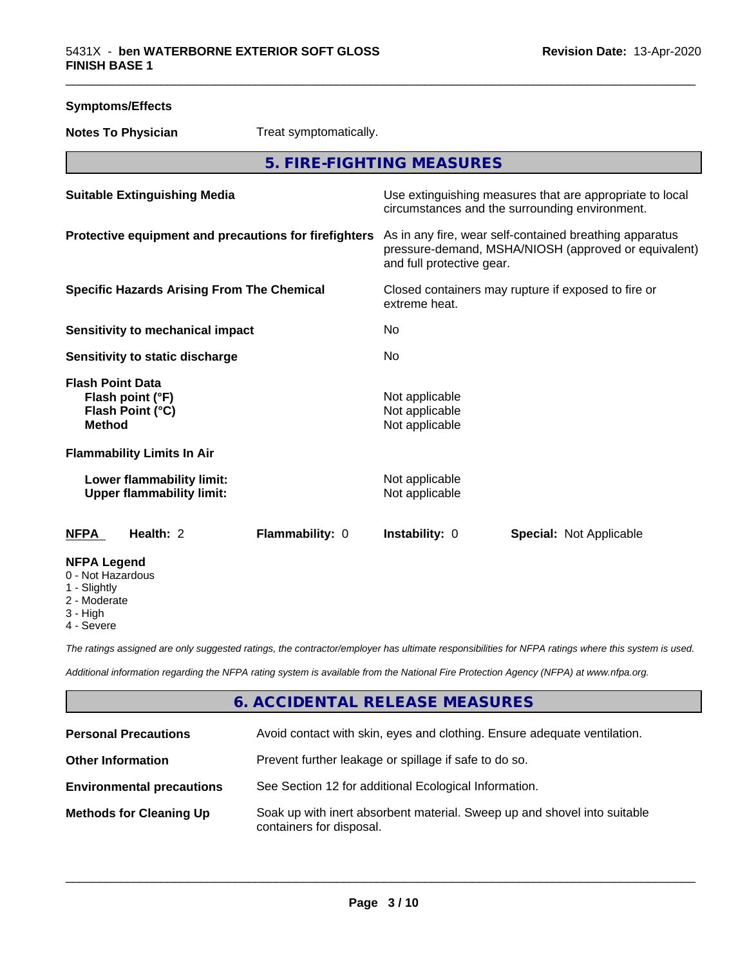| <b>Symptoms/Effects</b>                                                 |                                                               |                                                       |                                                    |                                                                                                                 |
|-------------------------------------------------------------------------|---------------------------------------------------------------|-------------------------------------------------------|----------------------------------------------------|-----------------------------------------------------------------------------------------------------------------|
| <b>Notes To Physician</b>                                               |                                                               | Treat symptomatically.                                |                                                    |                                                                                                                 |
|                                                                         |                                                               |                                                       | 5. FIRE-FIGHTING MEASURES                          |                                                                                                                 |
|                                                                         | <b>Suitable Extinguishing Media</b>                           |                                                       |                                                    | Use extinguishing measures that are appropriate to local<br>circumstances and the surrounding environment.      |
|                                                                         |                                                               | Protective equipment and precautions for firefighters | and full protective gear.                          | As in any fire, wear self-contained breathing apparatus<br>pressure-demand, MSHA/NIOSH (approved or equivalent) |
|                                                                         | <b>Specific Hazards Arising From The Chemical</b>             |                                                       | extreme heat.                                      | Closed containers may rupture if exposed to fire or                                                             |
|                                                                         | Sensitivity to mechanical impact                              |                                                       | No.                                                |                                                                                                                 |
|                                                                         | Sensitivity to static discharge                               |                                                       | No                                                 |                                                                                                                 |
| <b>Flash Point Data</b><br><b>Method</b>                                | Flash point (°F)<br>Flash Point (°C)                          |                                                       | Not applicable<br>Not applicable<br>Not applicable |                                                                                                                 |
|                                                                         | <b>Flammability Limits In Air</b>                             |                                                       |                                                    |                                                                                                                 |
|                                                                         | Lower flammability limit:<br><b>Upper flammability limit:</b> |                                                       | Not applicable<br>Not applicable                   |                                                                                                                 |
| <b>NFPA</b>                                                             | Health: 2                                                     | Flammability: 0                                       | Instability: 0                                     | <b>Special: Not Applicable</b>                                                                                  |
| <b>NFPA Legend</b><br>0 - Not Hazardous<br>1 - Slightly<br>2 - Moderate |                                                               |                                                       |                                                    |                                                                                                                 |

4 - Severe

3 - High

*The ratings assigned are only suggested ratings, the contractor/employer has ultimate responsibilities for NFPA ratings where this system is used.*

*Additional information regarding the NFPA rating system is available from the National Fire Protection Agency (NFPA) at www.nfpa.org.*

# **6. ACCIDENTAL RELEASE MEASURES**

| <b>Personal Precautions</b>      | Avoid contact with skin, eyes and clothing. Ensure adequate ventilation.                             |  |
|----------------------------------|------------------------------------------------------------------------------------------------------|--|
| <b>Other Information</b>         | Prevent further leakage or spillage if safe to do so.                                                |  |
| <b>Environmental precautions</b> | See Section 12 for additional Ecological Information.                                                |  |
| <b>Methods for Cleaning Up</b>   | Soak up with inert absorbent material. Sweep up and shovel into suitable<br>containers for disposal. |  |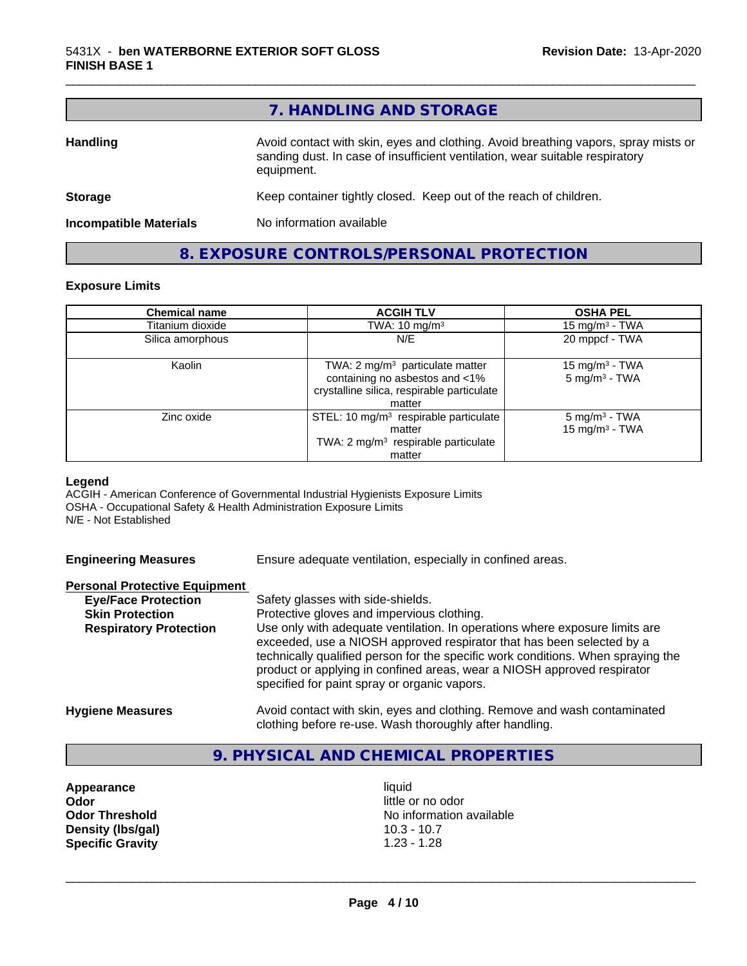|                               | 7. HANDLING AND STORAGE                                                                                                                                                          |
|-------------------------------|----------------------------------------------------------------------------------------------------------------------------------------------------------------------------------|
| <b>Handling</b>               | Avoid contact with skin, eyes and clothing. Avoid breathing vapors, spray mists or<br>sanding dust. In case of insufficient ventilation, wear suitable respiratory<br>equipment. |
| <b>Storage</b>                | Keep container tightly closed. Keep out of the reach of children.                                                                                                                |
| <b>Incompatible Materials</b> | No information available                                                                                                                                                         |

**8. EXPOSURE CONTROLS/PERSONAL PROTECTION**

#### **Exposure Limits**

| <b>Chemical name</b> | <b>ACGIH TLV</b>                                                                                                            | <b>OSHA PEL</b>                                         |
|----------------------|-----------------------------------------------------------------------------------------------------------------------------|---------------------------------------------------------|
| Titanium dioxide     | TWA: $10 \text{ mg/m}^3$                                                                                                    | 15 mg/m <sup>3</sup> - TWA                              |
| Silica amorphous     | N/E                                                                                                                         | 20 mppcf - TWA                                          |
| Kaolin               | TWA: 2 $mg/m3$ particulate matter<br>containing no asbestos and <1%<br>crystalline silica, respirable particulate<br>matter | 15 mg/m <sup>3</sup> - TWA<br>5 mg/m <sup>3</sup> - TWA |
| Zinc oxide           | STEL: 10 mg/m <sup>3</sup> respirable particulate<br>matter<br>TWA: $2 \text{ mg/m}^3$ respirable particulate<br>matter     | $5 \text{ mg/m}^3$ - TWA<br>15 mg/m $3$ - TWA           |

#### **Legend**

ACGIH - American Conference of Governmental Industrial Hygienists Exposure Limits OSHA - Occupational Safety & Health Administration Exposure Limits N/E - Not Established

Ensure adequate ventilation, especially in confined areas.

#### **Personal Protective Equipment**

| <b>Eye/Face Protection</b>    | Safety glasses with side-shields.                                                                                                                                                                                                                                                    |
|-------------------------------|--------------------------------------------------------------------------------------------------------------------------------------------------------------------------------------------------------------------------------------------------------------------------------------|
| <b>Skin Protection</b>        | Protective gloves and impervious clothing.                                                                                                                                                                                                                                           |
| <b>Respiratory Protection</b> | Use only with adequate ventilation. In operations where exposure limits are                                                                                                                                                                                                          |
|                               | exceeded, use a NIOSH approved respirator that has been selected by a<br>technically qualified person for the specific work conditions. When spraying the<br>product or applying in confined areas, wear a NIOSH approved respirator<br>specified for paint spray or organic vapors. |
| <b>Hygiene Measures</b>       | Avoid contact with skin, eyes and clothing. Remove and wash contaminated<br>clothing before re-use. Wash thoroughly after handling.                                                                                                                                                  |

## **9. PHYSICAL AND CHEMICAL PROPERTIES**

**Appearance** liquid **Odor**<br> **Odor Threshold**<br> **Odor Threshold**<br> **Odor Threshold**<br> **Odor Density (Ibs/gal)** 10.3 - 10.7<br> **Specific Gravity** 1.23 - 1.28 **Specific Gravity** 

**No information available**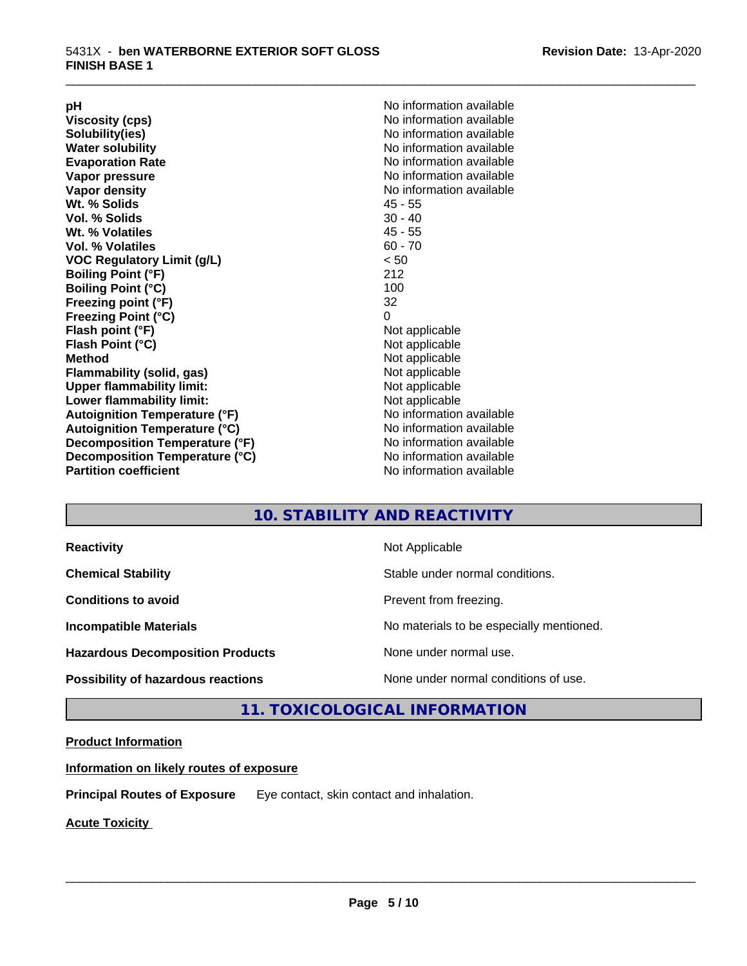**Viscosity (cps)** <br> **Viscosity (cps)** No information available<br>
No information available<br>
No information available **Water solubility**<br> **Evaporation Rate**<br> **Evaporation Rate**<br> **Evaporation Rate Vapor pressure** No information available **Vapor density No information available No information available Wt. % Solids** 45 - 55 **Vol. % Solids Wt. % Volatiles** 45 - 55 **Vol. % Volatiles** 60 - 70 **VOC Regulatory Limit (g/L)** < 50 **Boiling Point (°F)** 212 **Boiling Point (°C) Freezing point (°F)** 32 **Freezing Point (°C)** 0 **Flash point (°F)** Not applicable **Flash Point (°C)** Not applicable **Method**<br> **Flammability (solid, gas)**<br> **Example 2018** Not applicable **Flammability** (solid, gas) **Upper flammability limit:** Not applicable **Lower flammability limit:** Not applicable **Autoignition Temperature (°F)** No information available **Autoignition Temperature (°C)**<br> **Decomposition Temperature (°F)** Moinformation available **Decomposition Temperature (°F) Decomposition Temperature (°C)** No information available<br> **Partition coefficient Partition available** 

**pH**<br>
Viscosity (cps) The Contract Contract Contract Contract Contract Contract Contract Contract Contract Contract Co<br>
No information available **Solubility(ies)** No information available **Evaporation Rate** No information available **No information available** 

\_\_\_\_\_\_\_\_\_\_\_\_\_\_\_\_\_\_\_\_\_\_\_\_\_\_\_\_\_\_\_\_\_\_\_\_\_\_\_\_\_\_\_\_\_\_\_\_\_\_\_\_\_\_\_\_\_\_\_\_\_\_\_\_\_\_\_\_\_\_\_\_\_\_\_\_\_\_\_\_\_\_\_\_\_\_\_\_\_\_\_\_\_

# **10. STABILITY AND REACTIVITY**

| <b>Reactivity</b>                         | Not Applicable                           |
|-------------------------------------------|------------------------------------------|
| <b>Chemical Stability</b>                 | Stable under normal conditions.          |
| <b>Conditions to avoid</b>                | Prevent from freezing.                   |
| <b>Incompatible Materials</b>             | No materials to be especially mentioned. |
| <b>Hazardous Decomposition Products</b>   | None under normal use.                   |
| <b>Possibility of hazardous reactions</b> | None under normal conditions of use.     |

# **11. TOXICOLOGICAL INFORMATION**

#### **Product Information**

**Information on likely routes of exposure**

**Principal Routes of Exposure** Eye contact, skin contact and inhalation.

**Acute Toxicity**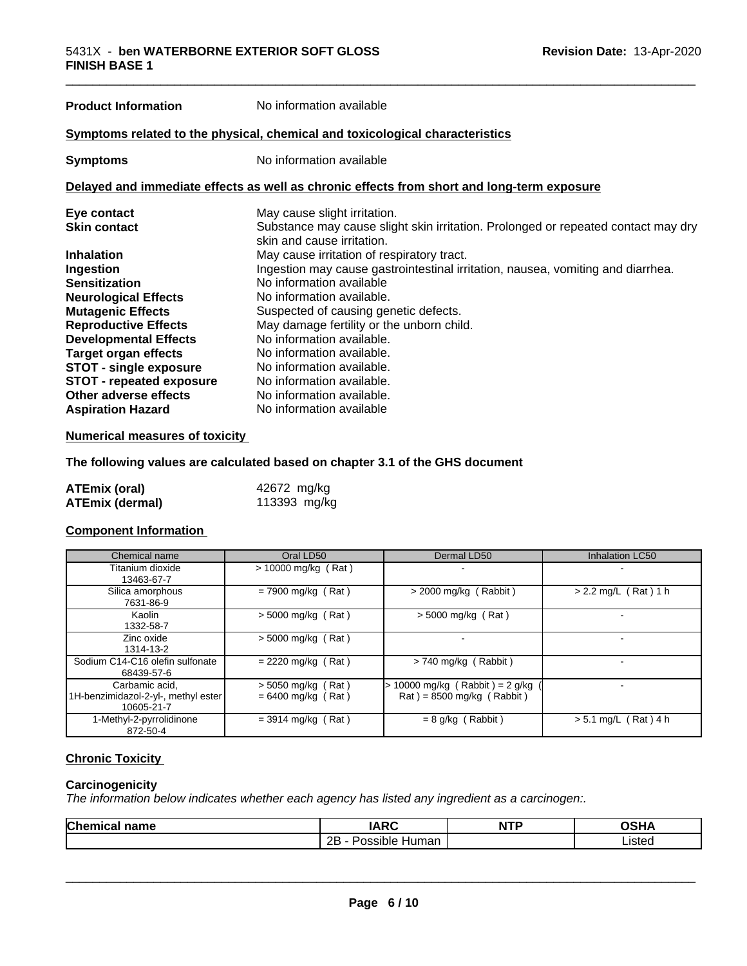# **Product Information** No information available

#### **Symptoms related to the physical,chemical and toxicological characteristics**

**Symptoms** No information available

#### **Delayed and immediate effects as well as chronic effects from short and long-term exposure**

| Eye contact                     | May cause slight irritation.                                                      |
|---------------------------------|-----------------------------------------------------------------------------------|
| <b>Skin contact</b>             | Substance may cause slight skin irritation. Prolonged or repeated contact may dry |
|                                 | skin and cause irritation.                                                        |
| <b>Inhalation</b>               | May cause irritation of respiratory tract.                                        |
| Ingestion                       | Ingestion may cause gastrointestinal irritation, nausea, vomiting and diarrhea.   |
| <b>Sensitization</b>            | No information available                                                          |
| <b>Neurological Effects</b>     | No information available.                                                         |
| <b>Mutagenic Effects</b>        | Suspected of causing genetic defects.                                             |
| <b>Reproductive Effects</b>     | May damage fertility or the unborn child.                                         |
| <b>Developmental Effects</b>    | No information available.                                                         |
| <b>Target organ effects</b>     | No information available.                                                         |
| <b>STOT - single exposure</b>   | No information available.                                                         |
| <b>STOT - repeated exposure</b> | No information available.                                                         |
| Other adverse effects           | No information available.                                                         |
| <b>Aspiration Hazard</b>        | No information available                                                          |

#### **Numerical measures of toxicity**

#### **The following values are calculated based on chapter 3.1 of the GHS document**

| ATEmix (oral)          | 42672 mg/kg  |
|------------------------|--------------|
| <b>ATEmix (dermal)</b> | 113393 mg/kg |

#### **Component Information**

| Chemical name                                                       | Oral LD50                                    | Dermal LD50                                                                          | <b>Inhalation LC50</b> |
|---------------------------------------------------------------------|----------------------------------------------|--------------------------------------------------------------------------------------|------------------------|
| Titanium dioxide<br>13463-67-7                                      | $> 10000$ mg/kg (Rat)                        |                                                                                      |                        |
| Silica amorphous<br>7631-86-9                                       | $= 7900$ mg/kg (Rat)                         | $>$ 2000 mg/kg (Rabbit)                                                              | $> 2.2$ mg/L (Rat) 1 h |
| Kaolin<br>1332-58-7                                                 | $>$ 5000 mg/kg (Rat)                         | $>$ 5000 mg/kg (Rat)                                                                 |                        |
| Zinc oxide<br>1314-13-2                                             | $> 5000$ mg/kg (Rat)                         |                                                                                      |                        |
| Sodium C14-C16 olefin sulfonate<br>68439-57-6                       | $= 2220$ mg/kg (Rat)                         | $> 740$ mg/kg (Rabbit)                                                               |                        |
| Carbamic acid.<br>1H-benzimidazol-2-yl-, methyl ester<br>10605-21-7 | $> 5050$ mg/kg (Rat)<br>$= 6400$ mg/kg (Rat) | $> 10000$ mg/kg (Rabbit) = 2 g/kg<br>$\text{Rat}$ ) = 8500 mg/kg ( $\text{Rabbit}$ ) |                        |
| 1-Methyl-2-pyrrolidinone<br>872-50-4                                | $=$ 3914 mg/kg (Rat)                         | $= 8$ g/kg (Rabbit)                                                                  | $> 5.1$ mg/L (Rat) 4 h |

# **Chronic Toxicity**

#### **Carcinogenicity**

*The information below indicateswhether each agency has listed any ingredient as a carcinogen:.*

| Chemical<br>name<br>ncai | IADC<br>`**             | NITD<br>M.<br>. | ∧פ⊔<br>$\overline{\phantom{a}}$ |
|--------------------------|-------------------------|-----------------|---------------------------------|
|                          | 2P<br>'ossible<br>Human |                 | ictar<br>പാ∟പ                   |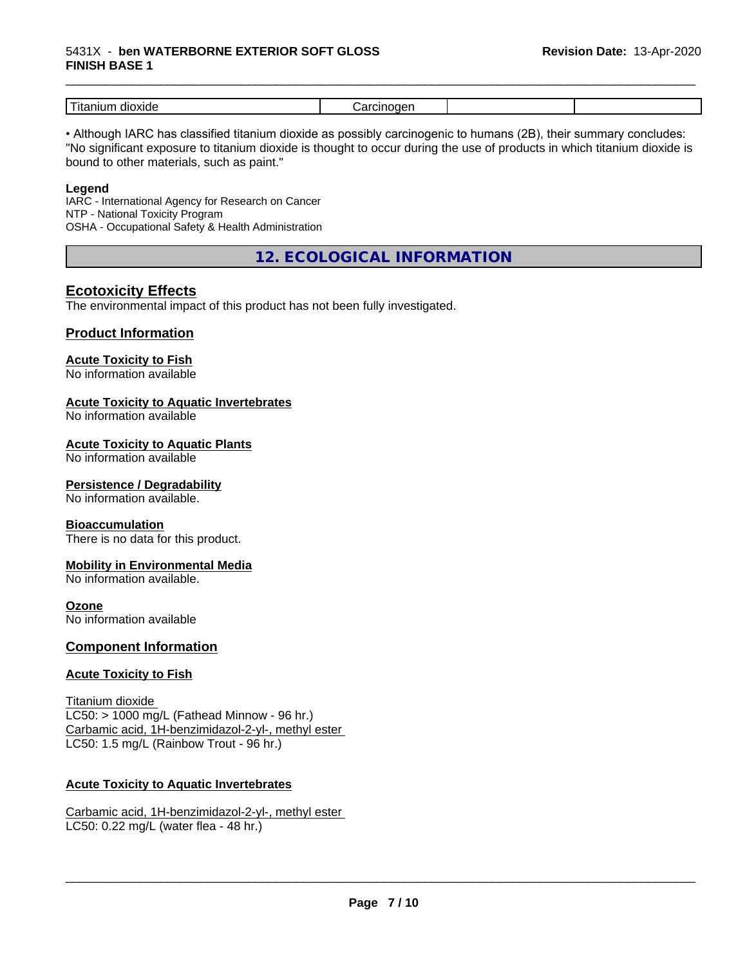#### 5431X - **ben WATERBORNE EXTERIOR SOFT GLOSS FINISH BASE 1**

| -<br>dioxide<br>---<br>шл<br>1 L c |  |  |
|------------------------------------|--|--|

\_\_\_\_\_\_\_\_\_\_\_\_\_\_\_\_\_\_\_\_\_\_\_\_\_\_\_\_\_\_\_\_\_\_\_\_\_\_\_\_\_\_\_\_\_\_\_\_\_\_\_\_\_\_\_\_\_\_\_\_\_\_\_\_\_\_\_\_\_\_\_\_\_\_\_\_\_\_\_\_\_\_\_\_\_\_\_\_\_\_\_\_\_

• Although IARC has classified titanium dioxide as possibly carcinogenic to humans (2B), their summary concludes: "No significant exposure to titanium dioxide is thought to occur during the use of products in which titanium dioxide is bound to other materials, such as paint."

#### **Legend**

IARC - International Agency for Research on Cancer NTP - National Toxicity Program OSHA - Occupational Safety & Health Administration

**12. ECOLOGICAL INFORMATION**

# **Ecotoxicity Effects**

The environmental impact of this product has not been fully investigated.

#### **Product Information**

# **Acute Toxicity to Fish**

No information available

#### **Acute Toxicity to Aquatic Invertebrates**

No information available

#### **Acute Toxicity to Aquatic Plants**

No information available

#### **Persistence / Degradability**

No information available.

#### **Bioaccumulation**

There is no data for this product.

#### **Mobility in Environmental Media**

No information available.

#### **Ozone**

No information available

#### **Component Information**

#### **Acute Toxicity to Fish**

Titanium dioxide  $LC50:$  > 1000 mg/L (Fathead Minnow - 96 hr.) Carbamic acid, 1H-benzimidazol-2-yl-, methyl ester LC50: 1.5 mg/L (Rainbow Trout - 96 hr.)

#### **Acute Toxicity to Aquatic Invertebrates**

Carbamic acid, 1H-benzimidazol-2-yl-, methyl ester LC50: 0.22 mg/L (water flea - 48 hr.)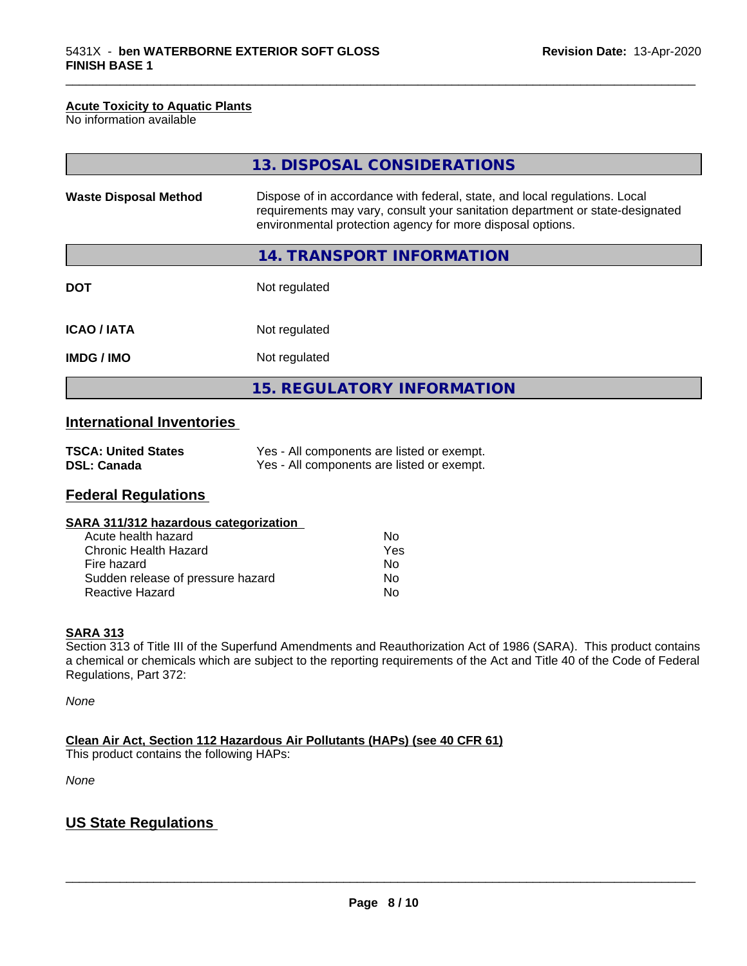#### **Acute Toxicity to Aquatic Plants**

No information available

|                              | 13. DISPOSAL CONSIDERATIONS                                                                                                                                                                                               |
|------------------------------|---------------------------------------------------------------------------------------------------------------------------------------------------------------------------------------------------------------------------|
| <b>Waste Disposal Method</b> | Dispose of in accordance with federal, state, and local regulations. Local<br>requirements may vary, consult your sanitation department or state-designated<br>environmental protection agency for more disposal options. |
|                              | 14. TRANSPORT INFORMATION                                                                                                                                                                                                 |
| <b>DOT</b>                   | Not regulated                                                                                                                                                                                                             |
| <b>ICAO/IATA</b>             | Not regulated                                                                                                                                                                                                             |
| <b>IMDG/IMO</b>              | Not regulated                                                                                                                                                                                                             |
|                              | <b>15. REGULATORY INFORMATION</b>                                                                                                                                                                                         |

\_\_\_\_\_\_\_\_\_\_\_\_\_\_\_\_\_\_\_\_\_\_\_\_\_\_\_\_\_\_\_\_\_\_\_\_\_\_\_\_\_\_\_\_\_\_\_\_\_\_\_\_\_\_\_\_\_\_\_\_\_\_\_\_\_\_\_\_\_\_\_\_\_\_\_\_\_\_\_\_\_\_\_\_\_\_\_\_\_\_\_\_\_

# **International Inventories**

| <b>TSCA: United States</b> | Yes - All components are listed or exempt. |
|----------------------------|--------------------------------------------|
| <b>DSL: Canada</b>         | Yes - All components are listed or exempt. |

# **Federal Regulations**

| SARA 311/312 hazardous categorization |  |
|---------------------------------------|--|
|---------------------------------------|--|

| Acute health hazard               | Nο  |
|-----------------------------------|-----|
| Chronic Health Hazard             | Yes |
| Fire hazard                       | Nο  |
| Sudden release of pressure hazard | Nο  |
| <b>Reactive Hazard</b>            | N٥  |

#### **SARA 313**

Section 313 of Title III of the Superfund Amendments and Reauthorization Act of 1986 (SARA). This product contains a chemical or chemicals which are subject to the reporting requirements of the Act and Title 40 of the Code of Federal Regulations, Part 372:

*None*

**Clean Air Act,Section 112 Hazardous Air Pollutants (HAPs) (see 40 CFR 61)**

This product contains the following HAPs:

*None*

# **US State Regulations**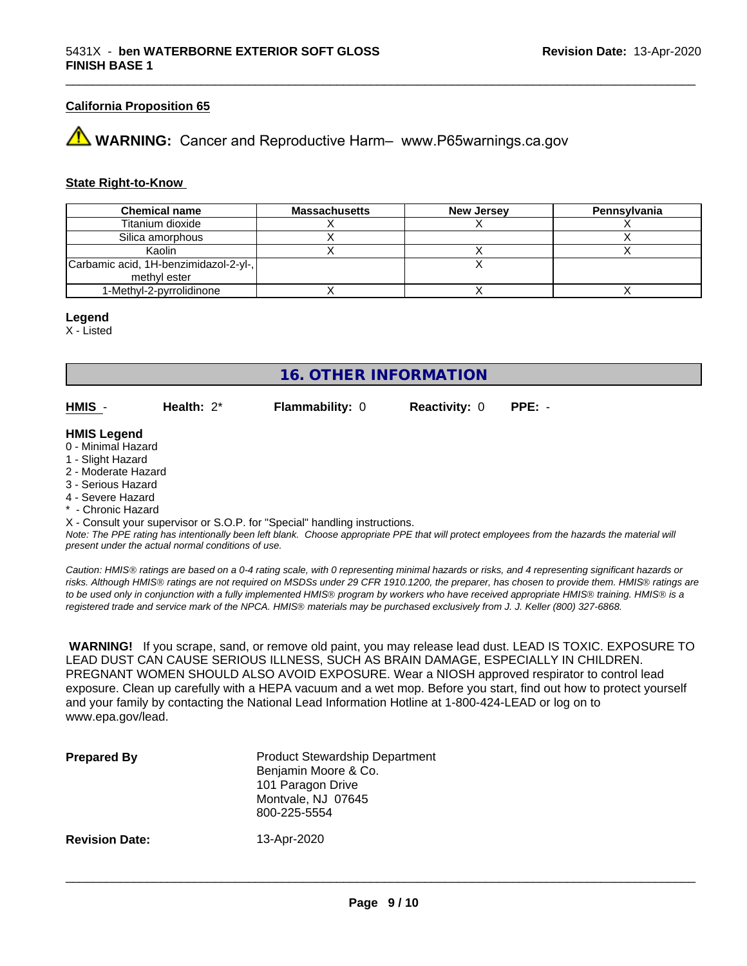#### **California Proposition 65**

**WARNING:** Cancer and Reproductive Harm– www.P65warnings.ca.gov

#### **State Right-to-Know**

| <b>Chemical name</b>                  | <b>Massachusetts</b> | <b>New Jersey</b> | Pennsylvania |
|---------------------------------------|----------------------|-------------------|--------------|
| Titanium dioxide                      |                      |                   |              |
| Silica amorphous                      |                      |                   |              |
| Kaolin                                |                      |                   |              |
| Carbamic acid, 1H-benzimidazol-2-yl-, |                      |                   |              |
| methyl ester                          |                      |                   |              |
| 1-Methyl-2-pyrrolidinone              |                      |                   |              |

#### **Legend**

X - Listed

# **16. OTHER INFORMATION**

**HMIS** - **Health:** 2\* **Flammability:** 0 **Reactivity:** 0 **PPE:** -

#### **HMIS Legend**

- 0 Minimal Hazard
- 1 Slight Hazard
- 2 Moderate Hazard
- 3 Serious Hazard
- 4 Severe Hazard
- Chronic Hazard

X - Consult your supervisor or S.O.P. for "Special" handling instructions.

*Note: The PPE rating has intentionally been left blank. Choose appropriate PPE that will protect employees from the hazards the material will present under the actual normal conditions of use.*

*Caution: HMISÒ ratings are based on a 0-4 rating scale, with 0 representing minimal hazards or risks, and 4 representing significant hazards or risks. Although HMISÒ ratings are not required on MSDSs under 29 CFR 1910.1200, the preparer, has chosen to provide them. HMISÒ ratings are to be used only in conjunction with a fully implemented HMISÒ program by workers who have received appropriate HMISÒ training. HMISÒ is a registered trade and service mark of the NPCA. HMISÒ materials may be purchased exclusively from J. J. Keller (800) 327-6868.*

 **WARNING!** If you scrape, sand, or remove old paint, you may release lead dust. LEAD IS TOXIC. EXPOSURE TO LEAD DUST CAN CAUSE SERIOUS ILLNESS, SUCH AS BRAIN DAMAGE, ESPECIALLY IN CHILDREN. PREGNANT WOMEN SHOULD ALSO AVOID EXPOSURE.Wear a NIOSH approved respirator to control lead exposure. Clean up carefully with a HEPA vacuum and a wet mop. Before you start, find out how to protect yourself and your family by contacting the National Lead Information Hotline at 1-800-424-LEAD or log on to www.epa.gov/lead.

| <b>Prepared By</b>    | <b>Product Stewardship Department</b><br>Benjamin Moore & Co.<br>101 Paragon Drive<br>Montvale, NJ 07645<br>800-225-5554 |
|-----------------------|--------------------------------------------------------------------------------------------------------------------------|
| <b>Revision Date:</b> | 13-Apr-2020                                                                                                              |